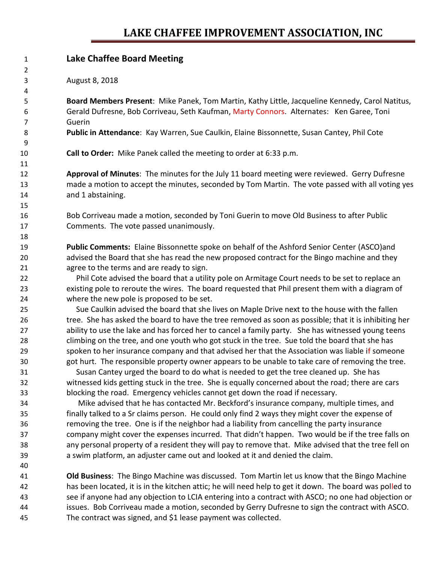## **LAKE CHAFFEE IMPROVEMENT ASSOCIATION, INC**

| 1  | <b>Lake Chaffee Board Meeting</b>                                                                       |
|----|---------------------------------------------------------------------------------------------------------|
| 2  |                                                                                                         |
| 3  | August 8, 2018                                                                                          |
| 4  |                                                                                                         |
| 5  | Board Members Present: Mike Panek, Tom Martin, Kathy Little, Jacqueline Kennedy, Carol Natitus,         |
| 6  | Gerald Dufresne, Bob Corriveau, Seth Kaufman, Marty Connors. Alternates: Ken Garee, Toni                |
| 7  | Guerin                                                                                                  |
| 8  | Public in Attendance: Kay Warren, Sue Caulkin, Elaine Bissonnette, Susan Cantey, Phil Cote              |
| 9  |                                                                                                         |
| 10 | Call to Order: Mike Panek called the meeting to order at 6:33 p.m.                                      |
| 11 |                                                                                                         |
| 12 | Approval of Minutes: The minutes for the July 11 board meeting were reviewed. Gerry Dufresne            |
| 13 | made a motion to accept the minutes, seconded by Tom Martin. The vote passed with all voting yes        |
| 14 | and 1 abstaining.                                                                                       |
| 15 |                                                                                                         |
| 16 | Bob Corriveau made a motion, seconded by Toni Guerin to move Old Business to after Public               |
| 17 | Comments. The vote passed unanimously.                                                                  |
| 18 |                                                                                                         |
| 19 | Public Comments: Elaine Bissonnette spoke on behalf of the Ashford Senior Center (ASCO)and              |
| 20 | advised the Board that she has read the new proposed contract for the Bingo machine and they            |
| 21 | agree to the terms and are ready to sign.                                                               |
| 22 | Phil Cote advised the board that a utility pole on Armitage Court needs to be set to replace an         |
| 23 | existing pole to reroute the wires. The board requested that Phil present them with a diagram of        |
| 24 | where the new pole is proposed to be set.                                                               |
| 25 | Sue Caulkin advised the board that she lives on Maple Drive next to the house with the fallen           |
| 26 | tree. She has asked the board to have the tree removed as soon as possible; that it is inhibiting her   |
| 27 | ability to use the lake and has forced her to cancel a family party. She has witnessed young teens      |
| 28 | climbing on the tree, and one youth who got stuck in the tree. Sue told the board that she has          |
| 29 | spoken to her insurance company and that advised her that the Association was liable if someone         |
| 30 | got hurt. The responsible property owner appears to be unable to take care of removing the tree.        |
| 31 | Susan Cantey urged the board to do what is needed to get the tree cleaned up. She has                   |
| 32 | witnessed kids getting stuck in the tree. She is equally concerned about the road; there are cars       |
| 33 | blocking the road. Emergency vehicles cannot get down the road if necessary.                            |
| 34 | Mike advised that he has contacted Mr. Beckford's insurance company, multiple times, and                |
| 35 | finally talked to a Sr claims person. He could only find 2 ways they might cover the expense of         |
| 36 | removing the tree. One is if the neighbor had a liability from cancelling the party insurance           |
| 37 | company might cover the expenses incurred. That didn't happen. Two would be if the tree falls on        |
| 38 | any personal property of a resident they will pay to remove that. Mike advised that the tree fell on    |
| 39 | a swim platform, an adjuster came out and looked at it and denied the claim.                            |
| 40 |                                                                                                         |
| 41 | Old Business: The Bingo Machine was discussed. Tom Martin let us know that the Bingo Machine            |
| 42 | has been located, it is in the kitchen attic; he will need help to get it down. The board was polled to |
| 43 | see if anyone had any objection to LCIA entering into a contract with ASCO; no one had objection or     |
| 44 | issues. Bob Corriveau made a motion, seconded by Gerry Dufresne to sign the contract with ASCO.         |
| 45 | The contract was signed, and \$1 lease payment was collected.                                           |
|    |                                                                                                         |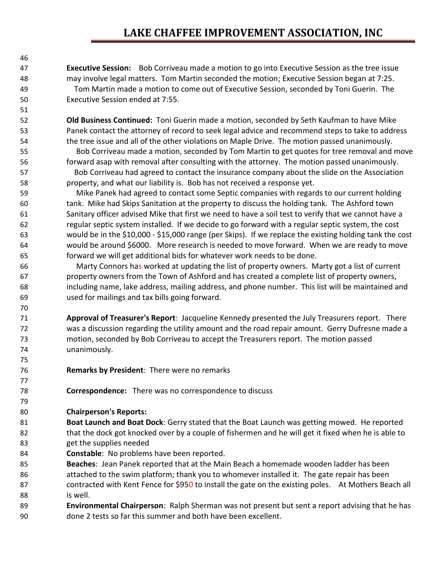## **LAKE CHAFFEE IMPROVEMENT ASSOCIATION, INC**

 **Executive Session:** Bob Corriveau made a motion to go into Executive Session as the tree issue may involve legal matters. Tom Martin seconded the motion; Executive Session began at 7:25. Tom Martin made a motion to come out of Executive Session, seconded by Toni Guerin. The Executive Session ended at 7:55.

 **Old Business Continued:** Toni Guerin made a motion, seconded by Seth Kaufman to have Mike Panek contact the attorney of record to seek legal advice and recommend steps to take to address the tree issue and all of the other violations on Maple Drive. The motion passed unanimously.

 Bob Corriveau made a motion, seconded by Tom Martin to get quotes for tree removal and move forward asap with removal after consulting with the attorney. The motion passed unanimously. Bob Corriveau had agreed to contact the insurance company about the slide on the Association property, and what our liability is. Bob has not received a response yet.

 Mike Panek had agreed to contact some Septic companies with regards to our current holding tank. Mike had Skips Sanitation at the property to discuss the holding tank. The Ashford town Sanitary officer advised Mike that first we need to have a soil test to verify that we cannot have a regular septic system installed. If we decide to go forward with a regular septic system, the cost would be in the \$10,000 - \$15,000 range (per Skips). If we replace the existing holding tank the cost would be around \$6000. More research is needed to move forward. When we are ready to move forward we will get additional bids for whatever work needs to be done.

 Marty Connors has worked at updating the list of property owners. Marty got a list of current property owners from the Town of Ashford and has created a complete list of property owners, including name, lake address, mailing address, and phone number. This list will be maintained and used for mailings and tax bills going forward.

 **Approval of Treasurer's Report**: Jacqueline Kennedy presented the July Treasurers report. There was a discussion regarding the utility amount and the road repair amount. Gerry Dufresne made a motion, seconded by Bob Corriveau to accept the Treasurers report. The motion passed unanimously.

- **Remarks by President**: There were no remarks
- **Correspondence:** There was no correspondence to discuss

## **Chairperson's Reports:**

 **Boat Launch and Boat Dock**: Gerry stated that the Boat Launch was getting mowed. He reported that the dock got knocked over by a couple of fishermen and he will get it fixed when he is able to get the supplies needed

**Constable**: No problems have been reported.

 **Beaches**: Jean Panek reported that at the Main Beach a homemade wooden ladder has been attached to the swim platform; thank you to whomever installed it. The gate repair has been 87 contracted with Kent Fence for \$950 to install the gate on the existing poles. At Mothers Beach all is well.

 **Environmental Chairperson**: Ralph Sherman was not present but sent a report advising that he has done 2 tests so far this summer and both have been excellent.